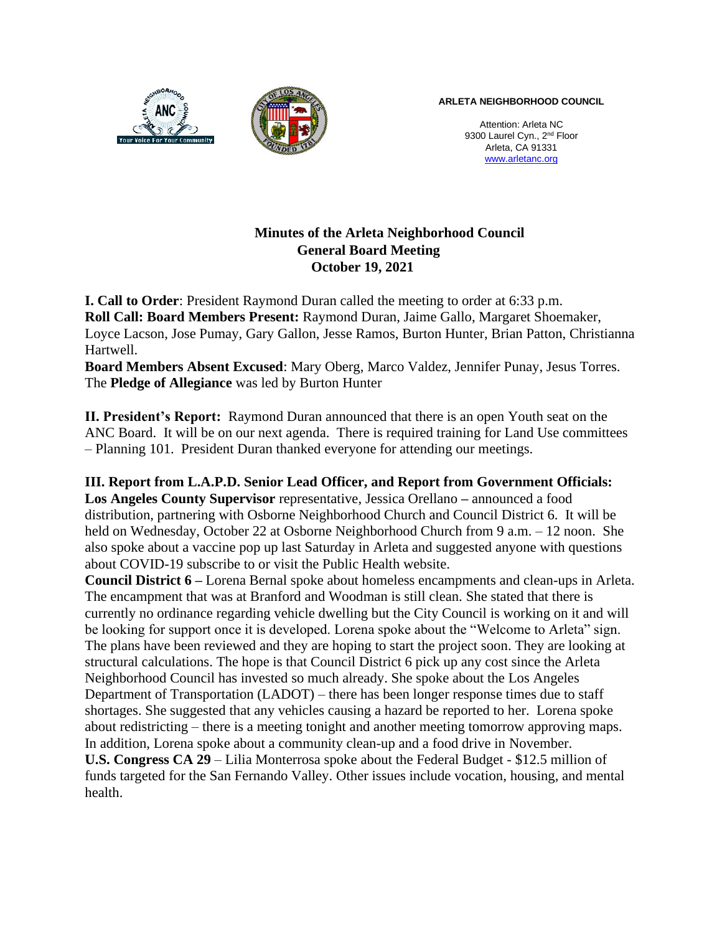

**ARLETA NEIGHBORHOOD COUNCIL**

Attention: Arleta NC 9300 Laurel Cyn., 2<sup>nd</sup> Floor Arleta, CA 91331 www.arletanc.org

## **Minutes of the Arleta Neighborhood Council General Board Meeting October 19, 2021**

**I. Call to Order**: President Raymond Duran called the meeting to order at 6:33 p.m. **Roll Call: Board Members Present:** Raymond Duran, Jaime Gallo, Margaret Shoemaker, Loyce Lacson, Jose Pumay, Gary Gallon, Jesse Ramos, Burton Hunter, Brian Patton, Christianna Hartwell.

**Board Members Absent Excused**: Mary Oberg, Marco Valdez, Jennifer Punay, Jesus Torres. The **Pledge of Allegiance** was led by Burton Hunter

**II. President's Report:** Raymond Duran announced that there is an open Youth seat on the ANC Board. It will be on our next agenda. There is required training for Land Use committees – Planning 101. President Duran thanked everyone for attending our meetings.

**III. Report from L.A.P.D. Senior Lead Officer, and Report from Government Officials:**

**Los Angeles County Supervisor** representative, Jessica Orellano **–** announced a food distribution, partnering with Osborne Neighborhood Church and Council District 6. It will be held on Wednesday, October 22 at Osborne Neighborhood Church from 9 a.m. – 12 noon. She also spoke about a vaccine pop up last Saturday in Arleta and suggested anyone with questions about COVID-19 subscribe to or visit the Public Health website.

**Council District 6 –** Lorena Bernal spoke about homeless encampments and clean-ups in Arleta. The encampment that was at Branford and Woodman is still clean. She stated that there is currently no ordinance regarding vehicle dwelling but the City Council is working on it and will be looking for support once it is developed. Lorena spoke about the "Welcome to Arleta" sign. The plans have been reviewed and they are hoping to start the project soon. They are looking at structural calculations. The hope is that Council District 6 pick up any cost since the Arleta Neighborhood Council has invested so much already. She spoke about the Los Angeles Department of Transportation (LADOT) – there has been longer response times due to staff shortages. She suggested that any vehicles causing a hazard be reported to her. Lorena spoke about redistricting – there is a meeting tonight and another meeting tomorrow approving maps. In addition, Lorena spoke about a community clean-up and a food drive in November.

**U.S. Congress CA 29** – Lilia Monterrosa spoke about the Federal Budget - \$12.5 million of funds targeted for the San Fernando Valley. Other issues include vocation, housing, and mental health.